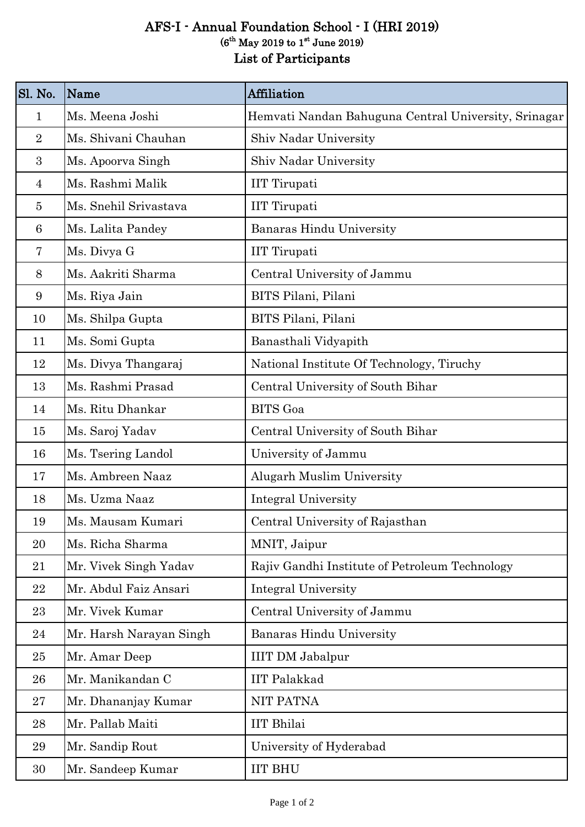## AFS-I - Annual Foundation School - I (HRI 2019) List of Participants  $(6<sup>th</sup>$  May 2019 to 1<sup>st</sup> June 2019)

| Sl. No.        | Name                    | <b>Affiliation</b>                                   |
|----------------|-------------------------|------------------------------------------------------|
| $\mathbf{1}$   | Ms. Meena Joshi         | Hemvati Nandan Bahuguna Central University, Srinagar |
| $\overline{2}$ | Ms. Shivani Chauhan     | Shiv Nadar University                                |
| 3              | Ms. Apoorva Singh       | Shiv Nadar University                                |
| $\overline{4}$ | Ms. Rashmi Malik        | <b>IIT</b> Tirupati                                  |
| 5              | Ms. Snehil Srivastava   | <b>IIT</b> Tirupati                                  |
| 6              | Ms. Lalita Pandey       | Banaras Hindu University                             |
| 7              | Ms. Divya G             | <b>IIT</b> Tirupati                                  |
| 8              | Ms. Aakriti Sharma      | Central University of Jammu                          |
| 9              | Ms. Riya Jain           | BITS Pilani, Pilani                                  |
| 10             | Ms. Shilpa Gupta        | BITS Pilani, Pilani                                  |
| 11             | Ms. Somi Gupta          | Banasthali Vidyapith                                 |
| 12             | Ms. Divya Thangaraj     | National Institute Of Technology, Tiruchy            |
| 13             | Ms. Rashmi Prasad       | Central University of South Bihar                    |
| 14             | Ms. Ritu Dhankar        | <b>BITS</b> Goa                                      |
| 15             | Ms. Saroj Yadav         | Central University of South Bihar                    |
| 16             | Ms. Tsering Landol      | University of Jammu                                  |
| 17             | Ms. Ambreen Naaz        | Alugarh Muslim University                            |
| 18             | Ms. Uzma Naaz           | Integral University                                  |
| 19             | Ms. Mausam Kumari       | Central University of Rajasthan                      |
| 20             | Ms. Richa Sharma        | MNIT, Jaipur                                         |
| 21             | Mr. Vivek Singh Yadav   | Rajiv Gandhi Institute of Petroleum Technology       |
| 22             | Mr. Abdul Faiz Ansari   | <b>Integral University</b>                           |
| 23             | Mr. Vivek Kumar         | Central University of Jammu                          |
| 24             | Mr. Harsh Narayan Singh | <b>Banaras Hindu University</b>                      |
| 25             | Mr. Amar Deep           | <b>IIIT DM Jabalpur</b>                              |
| 26             | Mr. Manikandan C        | <b>IIT Palakkad</b>                                  |
| 27             | Mr. Dhananjay Kumar     | <b>NIT PATNA</b>                                     |
| 28             | Mr. Pallab Maiti        | <b>IIT</b> Bhilai                                    |
| 29             | Mr. Sandip Rout         | University of Hyderabad                              |
| 30             | Mr. Sandeep Kumar       | <b>IIT BHU</b>                                       |